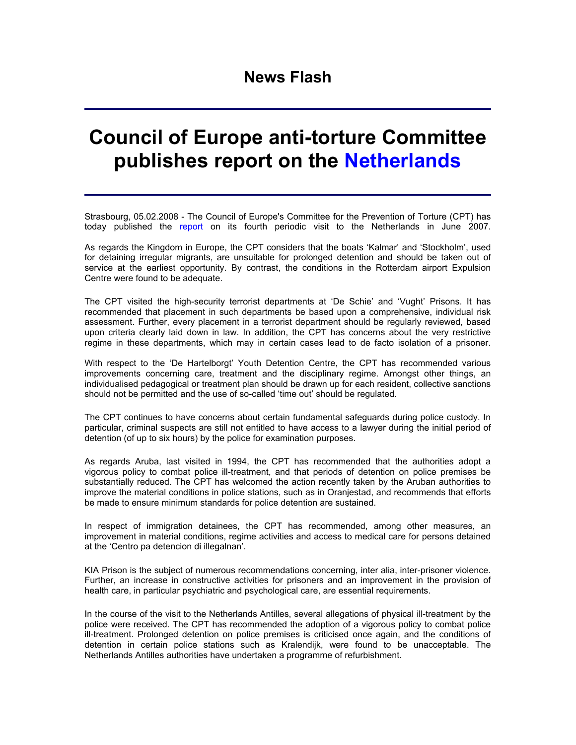## **News Flash**

## **Council of Europe anti-torture Committee publishes report on the Netherlands**

Strasbourg, 05.02.2008 - The Council of Europe's Committee for the Prevention of Torture (CPT) has today published the report on its fourth periodic visit to the Netherlands in June 2007.

As regards the Kingdom in Europe, the CPT considers that the boats 'Kalmar' and 'Stockholm', used for detaining irregular migrants, are unsuitable for prolonged detention and should be taken out of service at the earliest opportunity. By contrast, the conditions in the Rotterdam airport Expulsion Centre were found to be adequate.

The CPT visited the high-security terrorist departments at 'De Schie' and 'Vught' Prisons. It has recommended that placement in such departments be based upon a comprehensive, individual risk assessment. Further, every placement in a terrorist department should be regularly reviewed, based upon criteria clearly laid down in law. In addition, the CPT has concerns about the very restrictive regime in these departments, which may in certain cases lead to de facto isolation of a prisoner.

With respect to the 'De Hartelborgt' Youth Detention Centre, the CPT has recommended various improvements concerning care, treatment and the disciplinary regime. Amongst other things, an individualised pedagogical or treatment plan should be drawn up for each resident, collective sanctions should not be permitted and the use of so-called 'time out' should be regulated.

The CPT continues to have concerns about certain fundamental safeguards during police custody. In particular, criminal suspects are still not entitled to have access to a lawyer during the initial period of detention (of up to six hours) by the police for examination purposes.

As regards Aruba, last visited in 1994, the CPT has recommended that the authorities adopt a vigorous policy to combat police ill-treatment, and that periods of detention on police premises be substantially reduced. The CPT has welcomed the action recently taken by the Aruban authorities to improve the material conditions in police stations, such as in Oranjestad, and recommends that efforts be made to ensure minimum standards for police detention are sustained.

In respect of immigration detainees, the CPT has recommended, among other measures, an improvement in material conditions, regime activities and access to medical care for persons detained at the 'Centro pa detencion di illegalnan'.

KIA Prison is the subject of numerous recommendations concerning, inter alia, inter-prisoner violence. Further, an increase in constructive activities for prisoners and an improvement in the provision of health care, in particular psychiatric and psychological care, are essential requirements.

In the course of the visit to the Netherlands Antilles, several allegations of physical ill-treatment by the police were received. The CPT has recommended the adoption of a vigorous policy to combat police ill-treatment. Prolonged detention on police premises is criticised once again, and the conditions of detention in certain police stations such as Kralendijk, were found to be unacceptable. The Netherlands Antilles authorities have undertaken a programme of refurbishment.